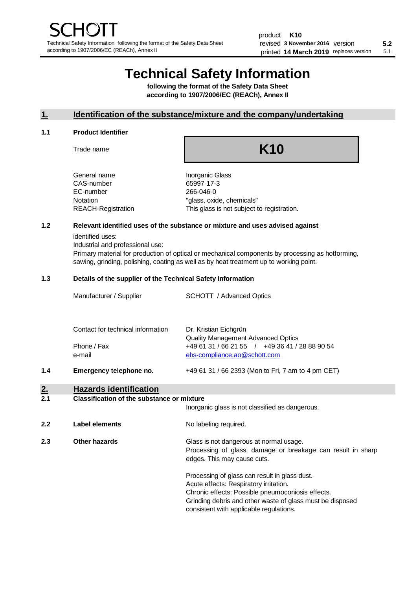# **Technical Safety Information**

**following the format of the Safety Data Sheet according to 1907/2006/EC (REACh), Annex II**

# **1. Identification of the substance/mixture and the company/undertaking**

#### **1.1 Product Identifier**

Trade name

# **K10**

| General name       |
|--------------------|
| CAS-number         |
| EC-number          |
| Notation           |
| REACH-Registration |
|                    |

**Inorganic Glass** 65997-17-3 266-046-0 "glass, oxide, chemicals" This glass is not subject to registration.

# **1.2 Relevant identified uses of the substance or mixture and uses advised against**

identified uses:

Industrial and professional use:

Primary material for production of optical or mechanical components by processing as hotforming, sawing, grinding, polishing, coating as well as by heat treatment up to working point.

#### **1.3 Details of the supplier of the Technical Safety Information**

|     | Manufacturer / Supplier           | SCHOTT / Advanced Optics                                                                                                    |
|-----|-----------------------------------|-----------------------------------------------------------------------------------------------------------------------------|
|     | Contact for technical information | Dr. Kristian Eichgrün                                                                                                       |
|     | Phone / Fax<br>e-mail             | <b>Quality Management Advanced Optics</b><br>+49 61 31 / 66 21 55 / +49 36 41 / 28 88 90 54<br>ehs-compliance.ao@schott.com |
| 1.4 | Emergency telephone no.           | +49 61 31 / 66 2393 (Mon to Fri, 7 am to 4 pm CET)                                                                          |
| າ   | Hazarde identification            |                                                                                                                             |

#### **2. Hazards identification 2.1 Classification of the substance or mixture**

|     |                | Inorganic glass is not classified as dangerous.                                                                                                                                                                                                      |
|-----|----------------|------------------------------------------------------------------------------------------------------------------------------------------------------------------------------------------------------------------------------------------------------|
| 2.2 | Label elements | No labeling required.                                                                                                                                                                                                                                |
| 2.3 | Other hazards  | Glass is not dangerous at normal usage.<br>Processing of glass, damage or breakage can result in sharp<br>edges. This may cause cuts.                                                                                                                |
|     |                | Processing of glass can result in glass dust.<br>Acute effects: Respiratory irritation.<br>Chronic effects: Possible pneumoconiosis effects.<br>Grinding debris and other waste of glass must be disposed<br>consistent with applicable regulations. |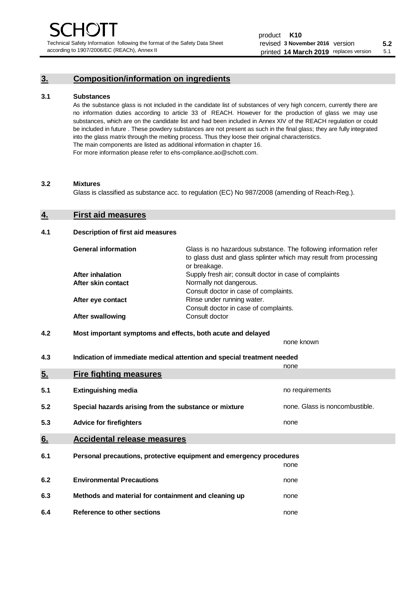Technical Safety Information following the format of the Safety Data Sheet according to 1907/2006/EC (REACh), Annex II

# **3. Composition/information on ingredients**

#### **3.1 Substances**

As the substance glass is not included in the candidate list of substances of very high concern, currently there are no information duties according to article 33 of REACH. However for the production of glass we may use substances, which are on the candidate list and had been included in Annex XIV of the REACH regulation or could be included in future . These powdery substances are not present as such in the final glass; they are fully integrated into the glass matrix through the melting process. Thus they loose their original characteristics. The main components are listed as additional information in chapter 16. For more information please refer to ehs-compliance.ao@schott.com.

#### **3.2 Mixtures**

Glass is classified as substance acc. to regulation (EC) No 987/2008 (amending of Reach-Reg.).

# **4. First aid measures**

#### **4.1 Description of first aid measures**

| <b>General information</b> | Glass is no hazardous substance. The following information refer<br>to glass dust and glass splinter which may result from processing<br>or breakage. |
|----------------------------|-------------------------------------------------------------------------------------------------------------------------------------------------------|
| <b>After inhalation</b>    | Supply fresh air; consult doctor in case of complaints                                                                                                |
| After skin contact         | Normally not dangerous.                                                                                                                               |
|                            | Consult doctor in case of complaints.                                                                                                                 |
| After eye contact          | Rinse under running water.                                                                                                                            |
|                            | Consult doctor in case of complaints.                                                                                                                 |
| <b>After swallowing</b>    | Consult doctor                                                                                                                                        |

# **4.2 Most important symptoms and effects, both acute and delayed**

none known **4.3 Indication of immediate medical attention and special treatment needed** 

|     |                                                                     | none                           |
|-----|---------------------------------------------------------------------|--------------------------------|
| 5.  | <b>Fire fighting measures</b>                                       |                                |
| 5.1 | <b>Extinguishing media</b>                                          | no requirements                |
| 5.2 | Special hazards arising from the substance or mixture               | none. Glass is noncombustible. |
| 5.3 | <b>Advice for firefighters</b>                                      | none                           |
| 6.  | <b>Accidental release measures</b>                                  |                                |
| 6.1 | Personal precautions, protective equipment and emergency procedures |                                |
|     |                                                                     | none                           |
| 6.2 | <b>Environmental Precautions</b>                                    | none                           |
| 6.3 | Methods and material for containment and cleaning up                | none                           |
| 6.4 | Reference to other sections                                         | none                           |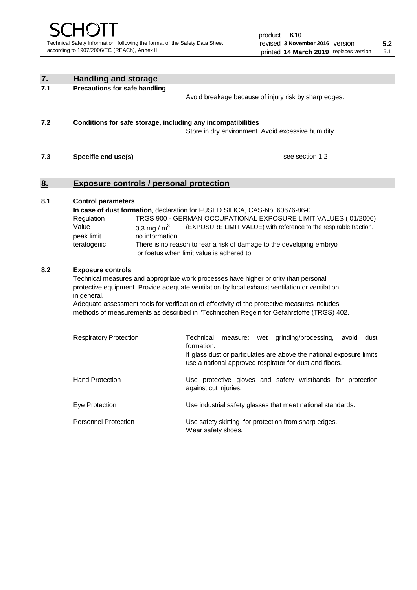| <u>7.</u> | <b>Handling and storage</b>                                                                                                                                                                                                                                                                                                                                                                                                    |                                                                                                                                                                                                                                                                                                                                        |  |  |
|-----------|--------------------------------------------------------------------------------------------------------------------------------------------------------------------------------------------------------------------------------------------------------------------------------------------------------------------------------------------------------------------------------------------------------------------------------|----------------------------------------------------------------------------------------------------------------------------------------------------------------------------------------------------------------------------------------------------------------------------------------------------------------------------------------|--|--|
| 7.1       | <b>Precautions for safe handling</b>                                                                                                                                                                                                                                                                                                                                                                                           | Avoid breakage because of injury risk by sharp edges.                                                                                                                                                                                                                                                                                  |  |  |
| 7.2       | Conditions for safe storage, including any incompatibilities                                                                                                                                                                                                                                                                                                                                                                   | Store in dry environment. Avoid excessive humidity.                                                                                                                                                                                                                                                                                    |  |  |
| 7.3       | Specific end use(s)<br>see section 1.2                                                                                                                                                                                                                                                                                                                                                                                         |                                                                                                                                                                                                                                                                                                                                        |  |  |
| 8.        | <b>Exposure controls / personal protection</b>                                                                                                                                                                                                                                                                                                                                                                                 |                                                                                                                                                                                                                                                                                                                                        |  |  |
| 8.1       | <b>Control parameters</b><br>Regulation<br>Value<br>0,3 mg / $m3$<br>peak limit<br>no information<br>teratogenic                                                                                                                                                                                                                                                                                                               | In case of dust formation, declaration for FUSED SILICA, CAS-No: 60676-86-0<br>TRGS 900 - GERMAN OCCUPATIONAL EXPOSURE LIMIT VALUES (01/2006)<br>(EXPOSURE LIMIT VALUE) with reference to the respirable fraction.<br>There is no reason to fear a risk of damage to the developing embryo<br>or foetus when limit value is adhered to |  |  |
| 8.2       | <b>Exposure controls</b><br>Technical measures and appropriate work processes have higher priority than personal<br>protective equipment. Provide adequate ventilation by local exhaust ventilation or ventilation<br>in general.<br>Adequate assessment tools for verification of effectivity of the protective measures includes<br>methods of measurements as described in "Technischen Regeln for Gefahrstoffe (TRGS) 402. |                                                                                                                                                                                                                                                                                                                                        |  |  |
|           | <b>Respiratory Protection</b>                                                                                                                                                                                                                                                                                                                                                                                                  | Technical<br>grinding/processing,<br>dust<br>measure: wet<br>avoid<br>formation.<br>If glass dust or particulates are above the national exposure limits<br>use a national approved respirator for dust and fibers.                                                                                                                    |  |  |
|           | <b>Hand Protection</b>                                                                                                                                                                                                                                                                                                                                                                                                         | Use protective gloves and safety wristbands for protection<br>against cut injuries.                                                                                                                                                                                                                                                    |  |  |
|           | Eye Protection                                                                                                                                                                                                                                                                                                                                                                                                                 | Use industrial safety glasses that meet national standards.                                                                                                                                                                                                                                                                            |  |  |
|           | <b>Personnel Protection</b>                                                                                                                                                                                                                                                                                                                                                                                                    | Use safety skirting for protection from sharp edges.<br>Wear safety shoes.                                                                                                                                                                                                                                                             |  |  |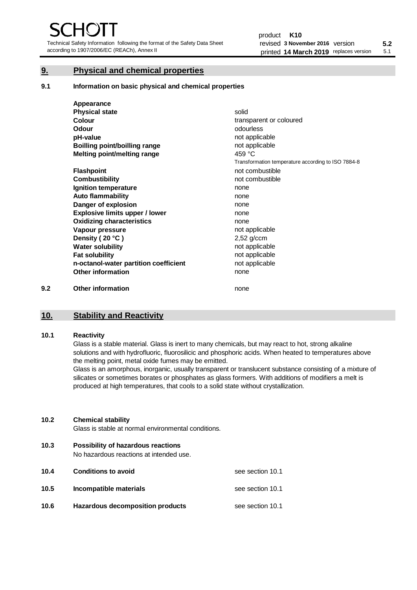Technical Safety Information following the format of the Safety Data Sheet according to 1907/2006/EC (REACh), Annex II

# **9. Physical and chemical properties**

**9.1 Information on basic physical and chemical properties**

|     | Appearance                            |                                                    |
|-----|---------------------------------------|----------------------------------------------------|
|     | <b>Physical state</b>                 | solid                                              |
|     | <b>Colour</b>                         | transparent or coloured                            |
|     | Odour                                 | odourless                                          |
|     | pH-value                              | not applicable                                     |
|     | <b>Boilling point/boilling range</b>  | not applicable                                     |
|     | Melting point/melting range           | 459 °C                                             |
|     |                                       | Transformation temperature according to ISO 7884-8 |
|     | <b>Flashpoint</b>                     | not combustible                                    |
|     | <b>Combustibility</b>                 | not combustible                                    |
|     | Ignition temperature                  | none                                               |
|     | <b>Auto flammability</b>              | none                                               |
|     | Danger of explosion                   | none                                               |
|     | <b>Explosive limits upper / lower</b> | none                                               |
|     | <b>Oxidizing characteristics</b>      | none                                               |
|     | Vapour pressure                       | not applicable                                     |
|     | Density (20 °C)                       | $2,52$ g/ccm                                       |
|     | <b>Water solubility</b>               | not applicable                                     |
|     | <b>Fat solubility</b>                 | not applicable                                     |
|     | n-octanol-water partition coefficient | not applicable                                     |
|     | <b>Other information</b>              | none                                               |
| 9.2 | <b>Other information</b>              | none                                               |

# **10. Stability and Reactivity**

### **10.1 Reactivity**

Glass is a stable material. Glass is inert to many chemicals, but may react to hot, strong alkaline solutions and with hydrofluoric, fluorosilicic and phosphoric acids. When heated to temperatures above the melting point, metal oxide fumes may be emitted.

Glass is an amorphous, inorganic, usually transparent or translucent substance consisting of a mixture of silicates or sometimes borates or phosphates as glass formers. With additions of modifiers a melt is produced at high temperatures, that cools to a solid state without crystallization.

### **10.2 Chemical stability**

Glass is stable at normal environmental conditions.

**10.3 Possibility of hazardous reactions** 

No hazardous reactions at intended use.

| 10.4 | <b>Conditions to avoid</b>       | see section 10.1 |
|------|----------------------------------|------------------|
| 10.5 | Incompatible materials           | see section 10.1 |
| 10.6 | Hazardous decomposition products | see section 10.1 |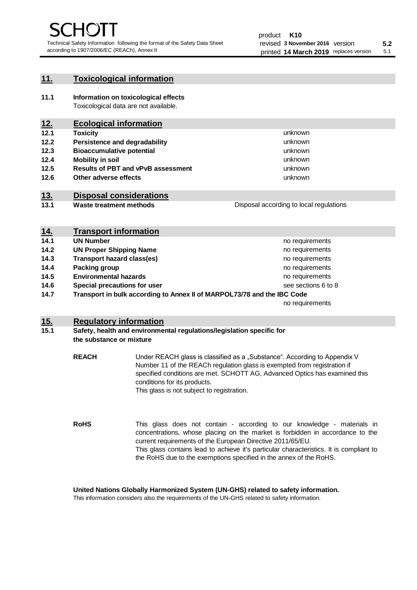unknown unknown unknown

unknown unknown unknown

Disposal according to local regulations

# **11. Toxicological information**

**11.1 Information on toxicological effects** Toxicological data are not available.

# **12. Ecological information**

- **12.1 Toxicity**
- **12.2 Persistence and degradability**
- **12.3 Bioaccumulative potential**
- **12.4 Mobility in soil**
- **12.5 Results of PBT and vPvB assessment**
- **12.6 Other adverse effects**

# **13. Disposal considerations**

**13.1 Waste treatment methods**

| <u>14.</u> | <b>Transport information</b>                                            |                     |
|------------|-------------------------------------------------------------------------|---------------------|
| 14.1       | <b>UN Number</b>                                                        | no requirements     |
| 14.2       | <b>UN Proper Shipping Name</b>                                          | no requirements     |
| 14.3       | <b>Transport hazard class(es)</b>                                       | no requirements     |
| 14.4       | Packing group                                                           | no requirements     |
| 14.5       | <b>Environmental hazards</b>                                            | no requirements     |
| 14.6       | Special precautions for user                                            | see sections 6 to 8 |
| 14.7       | Transport in bulk according to Annex II of MARPOL73/78 and the IBC Code |                     |
|            |                                                                         | no requirements     |

# **15. Regulatory information**

### **15.1 Safety, health and environmental regulations/legislation specific for the substance or mixture**

**REACH** Under REACH glass is classified as a "Substance". According to Appendix V Number 11 of the REACh regulation glass is exempted from registration if specified conditions are met. SCHOTT AG, Advanced Optics has examined this conditions for its products. This glass is not subject to registration.

**RoHS** This glass does not contain - according to our knowledge - materials in concentrations, whose placing on the market is forbidden in accordance to the current requirements of the European Directive 2011/65/EU. This glass contains lead to achieve it's particular characteristics. It is compliant to the RoHS due to the exemptions specified in the annex of the RoHS.

**United Nations Globally Harmonized System (UN-GHS) related to safety information.**

This information considers also the requirements of the UN-GHS related to safety information.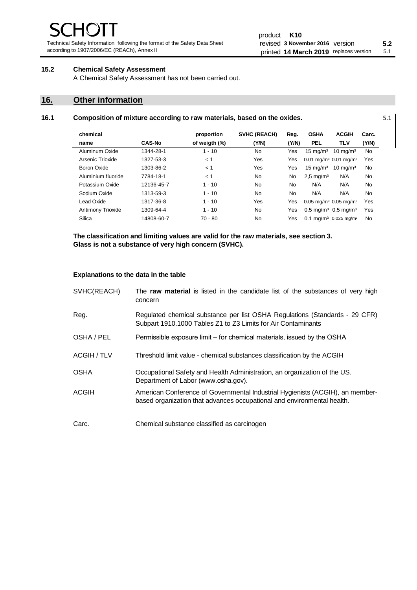Technical Safety Information following the format of the Safety Data Sheet according to 1907/2006/EC (REACh), Annex II

#### product **K10** revised **5.2 3 November 2016** version printed 14 March 2019 replaces version 5.1

# **15.2 Chemical Safety Assessment**

A Chemical Safety Assessment has not been carried out.

# **16. Other information**

| 16.1 | Composition of mixture according to raw materials, based on the oxides. | 5.1 |
|------|-------------------------------------------------------------------------|-----|
|      |                                                                         |     |

| chemical           |               | proportion    | <b>SVHC (REACH)</b> | Reg.  | <b>OSHA</b>                                       | <b>ACGIH</b>        | Carc.     |
|--------------------|---------------|---------------|---------------------|-------|---------------------------------------------------|---------------------|-----------|
| name               | <b>CAS-No</b> | of weigth (%) | (Y/N)               | (Y/N) | <b>PEL</b>                                        | <b>TLV</b>          | (Y/N)     |
| Aluminum Oxide     | 1344-28-1     | $1 - 10$      | No                  | Yes   | $15 \text{ mg/m}^3$                               | $10 \text{ mg/m}^3$ | <b>No</b> |
| Arsenic Trioxide   | 1327-53-3     | < 1           | Yes                 | Yes   | $0.01$ mg/m <sup>3</sup> $0.01$ mg/m <sup>3</sup> |                     | Yes       |
| Boron Oxide        | 1303-86-2     | < 1           | Yes                 | Yes   | $15 \text{ mg/m}^3$                               | $10 \text{ mg/m}^3$ | No        |
| Aluminium fluoride | 7784-18-1     | < 1           | No                  | No    | $2.5 \text{ mg/m}^3$                              | N/A                 | No        |
| Potassium Oxide    | 12136-45-7    | $1 - 10$      | No                  | No    | N/A                                               | N/A                 | No        |
| Sodium Oxide       | 1313-59-3     | $1 - 10$      | No                  | No    | N/A                                               | N/A                 | No        |
| Lead Oxide         | 1317-36-8     | $1 - 10$      | Yes                 | Yes   | $0.05$ mg/m <sup>3</sup> 0.05 mg/m <sup>3</sup>   |                     | Yes       |
| Antimony Trioxide  | 1309-64-4     | $1 - 10$      | No.                 | Yes   | $0.5 \text{ mg/m}^3$ 0.5 mg/m <sup>3</sup>        |                     | Yes       |
| Silica             | 14808-60-7    | $70 - 80$     | No                  | Yes   | $0.1 \text{ mq/m}^3$ 0.025 mg/m <sup>3</sup>      |                     | <b>No</b> |

**The classification and limiting values are valid for the raw materials, see section 3. Glass is not a substance of very high concern (SVHC).**

#### **Explanations to the data in the table**

| SVHC(REACH)  | The raw material is listed in the candidate list of the substances of very high<br>concern                                                               |
|--------------|----------------------------------------------------------------------------------------------------------------------------------------------------------|
| Reg.         | Regulated chemical substance per list OSHA Regulations (Standards - 29 CFR)<br>Subpart 1910.1000 Tables Z1 to Z3 Limits for Air Contaminants             |
| OSHA / PEL   | Permissible exposure limit – for chemical materials, issued by the OSHA                                                                                  |
| ACGIH / TLV  | Threshold limit value - chemical substances classification by the ACGIH                                                                                  |
| <b>OSHA</b>  | Occupational Safety and Health Administration, an organization of the US.<br>Department of Labor (www.osha.gov).                                         |
| <b>ACGIH</b> | American Conference of Governmental Industrial Hygienists (ACGIH), an member-<br>based organization that advances occupational and environmental health. |
| Carc.        | Chemical substance classified as carcinogen                                                                                                              |